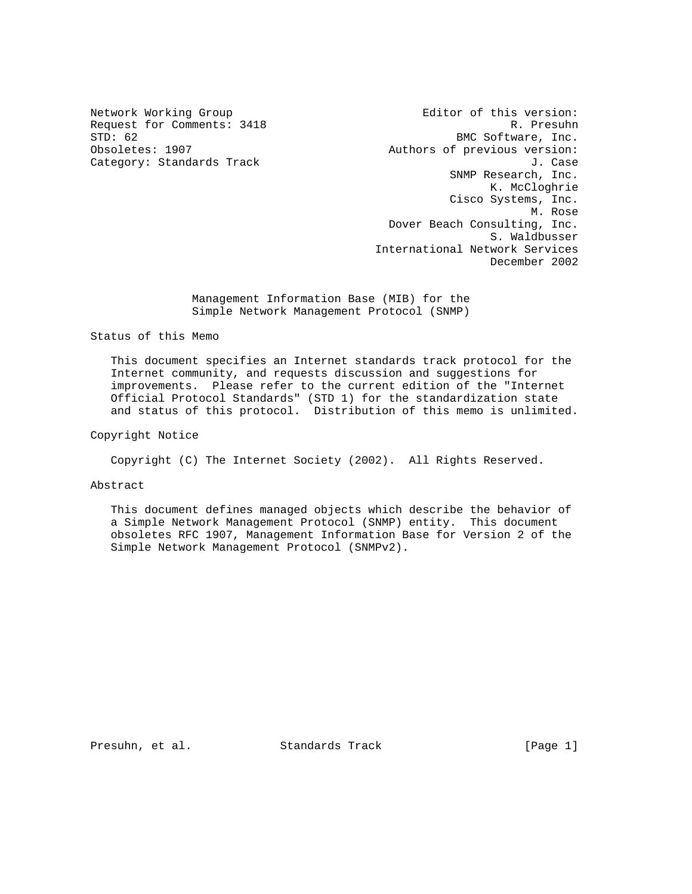Network Working Group **Editor** of this version: Request for Comments: 3418 R. Presuhn R. Presuhn R. Presuhn R. Presuhn R. Presuhn R. Presuhn R. Presuhn R. Presuhn R. Presuhn R. Presuhn R. Presuhn R. Presuhn R. Presuhn R. Presuhn R. Presuhn R. Presuhn R. Presuhn R. Presu BMC Software, Inc. Obsoletes: 1907 **Authors of previous version:** Category: Standards Track J. Case J. Case SNMP Research, Inc. K. McCloghrie Cisco Systems, Inc. M. Rose Dover Beach Consulting, Inc. S. Waldbusser International Network Services December 2002

> Management Information Base (MIB) for the Simple Network Management Protocol (SNMP)

Status of this Memo

 This document specifies an Internet standards track protocol for the Internet community, and requests discussion and suggestions for improvements. Please refer to the current edition of the "Internet Official Protocol Standards" (STD 1) for the standardization state and status of this protocol. Distribution of this memo is unlimited.

Copyright Notice

Copyright (C) The Internet Society (2002). All Rights Reserved.

Abstract

 This document defines managed objects which describe the behavior of a Simple Network Management Protocol (SNMP) entity. This document obsoletes RFC 1907, Management Information Base for Version 2 of the Simple Network Management Protocol (SNMPv2).

Presuhn, et al. Standards Track [Page 1]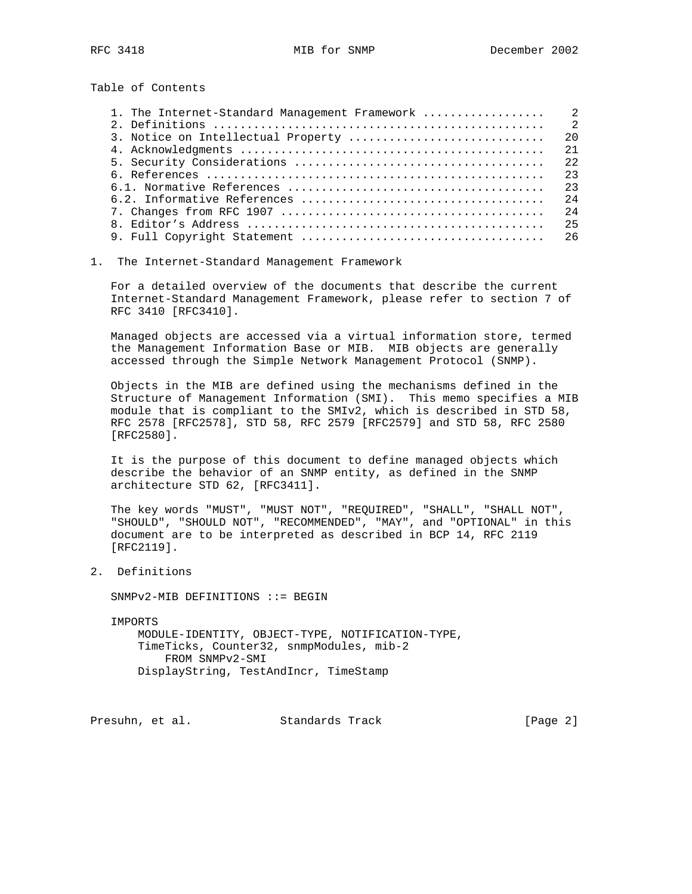Table of Contents

|                                    | $\overline{2}$ |
|------------------------------------|----------------|
| 3. Notice on Intellectual Property | 2.0            |
|                                    | 2.1            |
|                                    | 2.2            |
|                                    | 23             |
|                                    | 23             |
|                                    | 2.4            |
|                                    | 2.4            |
|                                    | 25             |
|                                    |                |

## 1. The Internet-Standard Management Framework

 For a detailed overview of the documents that describe the current Internet-Standard Management Framework, please refer to section 7 of RFC 3410 [RFC3410].

 Managed objects are accessed via a virtual information store, termed the Management Information Base or MIB. MIB objects are generally accessed through the Simple Network Management Protocol (SNMP).

 Objects in the MIB are defined using the mechanisms defined in the Structure of Management Information (SMI). This memo specifies a MIB module that is compliant to the SMIv2, which is described in STD 58, RFC 2578 [RFC2578], STD 58, RFC 2579 [RFC2579] and STD 58, RFC 2580 [RFC2580].

 It is the purpose of this document to define managed objects which describe the behavior of an SNMP entity, as defined in the SNMP architecture STD 62, [RFC3411].

 The key words "MUST", "MUST NOT", "REQUIRED", "SHALL", "SHALL NOT", "SHOULD", "SHOULD NOT", "RECOMMENDED", "MAY", and "OPTIONAL" in this document are to be interpreted as described in BCP 14, RFC 2119 [RFC2119].

2. Definitions

SNMPv2-MIB DEFINITIONS ::= BEGIN

IMPORTS

 MODULE-IDENTITY, OBJECT-TYPE, NOTIFICATION-TYPE, TimeTicks, Counter32, snmpModules, mib-2 FROM SNMPv2-SMI DisplayString, TestAndIncr, TimeStamp

Presuhn, et al. Standards Track [Page 2]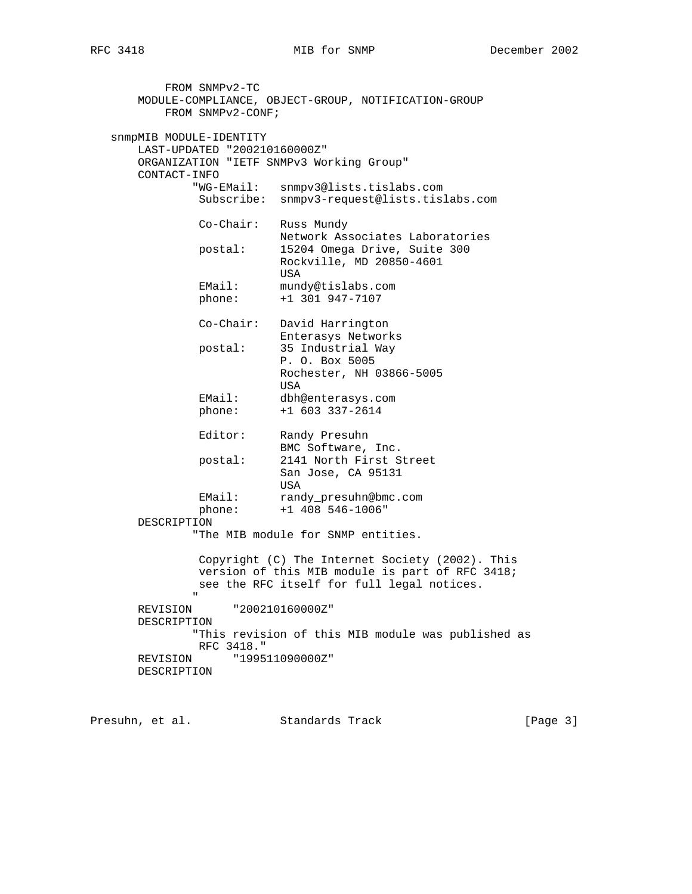FROM SNMPv2-TC MODULE-COMPLIANCE, OBJECT-GROUP, NOTIFICATION-GROUP FROM SNMPv2-CONF; snmpMIB MODULE-IDENTITY LAST-UPDATED "200210160000Z" ORGANIZATION "IETF SNMPv3 Working Group" CONTACT-INFO "WG-EMail: snmpv3@lists.tislabs.com Subscribe: snmpv3-request@lists.tislabs.com Co-Chair: Russ Mundy Network Associates Laboratories postal: 15204 Omega Drive, Suite 300 Rockville, MD 20850-4601 **USA** EMail: mundy@tislabs.com<br>phone: +1 301 947-7107 phone: +1 301 947-7107 Co-Chair: David Harrington Enterasys Networks<br>postal: 35 Industrial Way postal: 35 Industrial Way P. O. Box 5005 Rochester, NH 03866-5005 USA EMail: dbh@enterasys.com phone: +1 603 337-2614 Editor: Randy Presuhn BMC Software, Inc. postal: 2141 North First Street San Jose, CA 95131 USA EMail: randy\_presuhn@bmc.com phone: +1 408 546-1006" DESCRIPTION "The MIB module for SNMP entities. Copyright (C) The Internet Society (2002). This version of this MIB module is part of RFC 3418; see the RFC itself for full legal notices. " REVISION "200210160000Z" DESCRIPTION "This revision of this MIB module was published as RFC 3418." REVISION "199511090000Z" DESCRIPTION

Presuhn, et al. Standards Track [Page 3]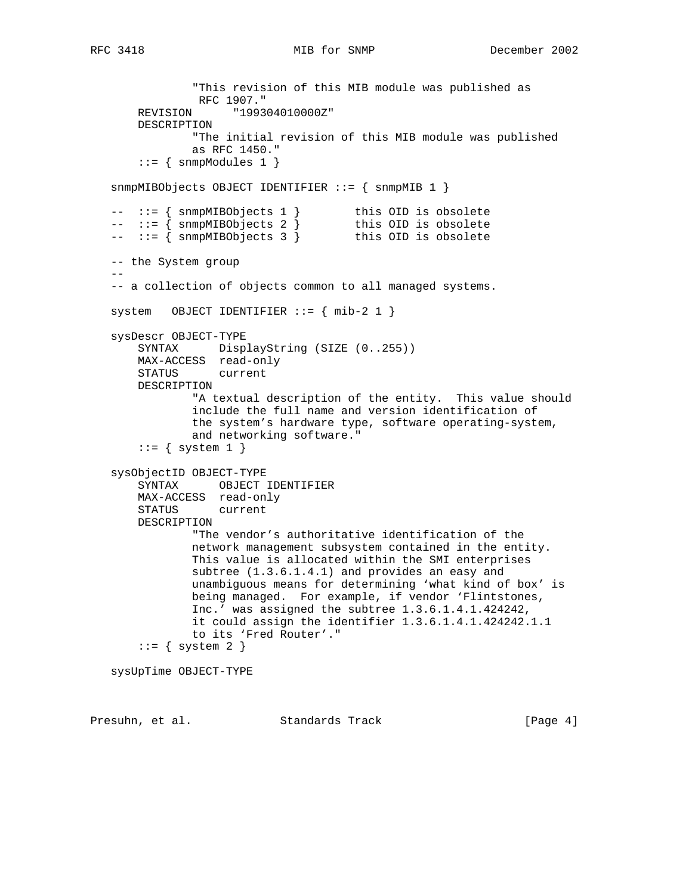```
RFC 3418 MIB for SNMP December 2002
```

```
 "This revision of this MIB module was published as
                RFC 1907."
       REVISION "199304010000Z"
       DESCRIPTION
               "The initial revision of this MIB module was published
               as RFC 1450."
      ::= { snmpModules 1 }
   snmpMIBObjects OBJECT IDENTIFIER ::= { snmpMIB 1 }
 -- ::= { snmpMIBObjects 1 } this OID is obsolete
 -- ::= { snmpMIBObjects 2 } this OID is obsolete
 -- ::= { snmpMIBObjects 3 } this OID is obsolete
   -- the System group
 --
   -- a collection of objects common to all managed systems.
  system OBJECT IDENTIFIER ::= { mib-2 1 }
   sysDescr OBJECT-TYPE
       SYNTAX DisplayString (SIZE (0..255))
       MAX-ACCESS read-only
       STATUS current
       DESCRIPTION
               "A textual description of the entity. This value should
               include the full name and version identification of
               the system's hardware type, software operating-system,
               and networking software."
      ::= { system 1 }
   sysObjectID OBJECT-TYPE
       SYNTAX OBJECT IDENTIFIER
       MAX-ACCESS read-only
       STATUS current
       DESCRIPTION
               "The vendor's authoritative identification of the
               network management subsystem contained in the entity.
               This value is allocated within the SMI enterprises
               subtree (1.3.6.1.4.1) and provides an easy and
               unambiguous means for determining 'what kind of box' is
               being managed. For example, if vendor 'Flintstones,
               Inc.' was assigned the subtree 1.3.6.1.4.1.424242,
               it could assign the identifier 1.3.6.1.4.1.424242.1.1
               to its 'Fred Router'."
      ::= { system 2 }
   sysUpTime OBJECT-TYPE
```
Presuhn, et al. Standards Track [Page 4]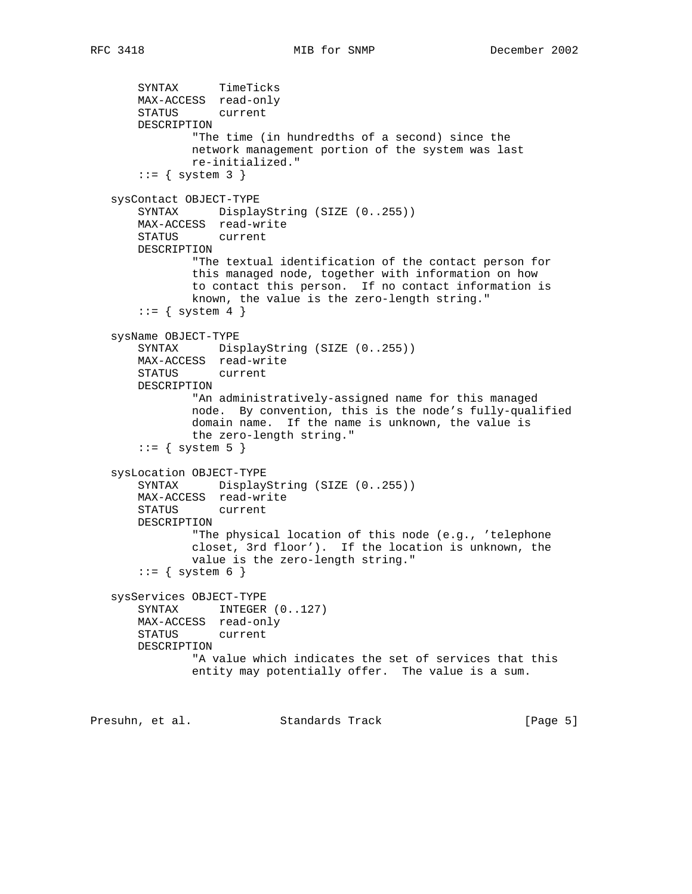SYNTAX TimeTicks MAX-ACCESS read-only STATUS current DESCRIPTION "The time (in hundredths of a second) since the network management portion of the system was last re-initialized."  $::=$  { system 3 } sysContact OBJECT-TYPE SYNTAX DisplayString (SIZE (0..255)) MAX-ACCESS read-write STATUS current DESCRIPTION "The textual identification of the contact person for this managed node, together with information on how to contact this person. If no contact information is known, the value is the zero-length string."  $::=$  { system 4 } sysName OBJECT-TYPE SYNTAX DisplayString (SIZE (0..255)) MAX-ACCESS read-write STATUS current DESCRIPTION "An administratively-assigned name for this managed node. By convention, this is the node's fully-qualified domain name. If the name is unknown, the value is the zero-length string."  $::=$  { system 5 } sysLocation OBJECT-TYPE SYNTAX DisplayString (SIZE (0..255)) MAX-ACCESS read-write STATUS current DESCRIPTION "The physical location of this node (e.g., 'telephone closet, 3rd floor'). If the location is unknown, the value is the zero-length string."  $::=$  { system 6 } sysServices OBJECT-TYPE SYNTAX INTEGER  $(0..127)$  MAX-ACCESS read-only STATUS current DESCRIPTION "A value which indicates the set of services that this entity may potentially offer. The value is a sum.

Presuhn, et al. Standards Track [Page 5]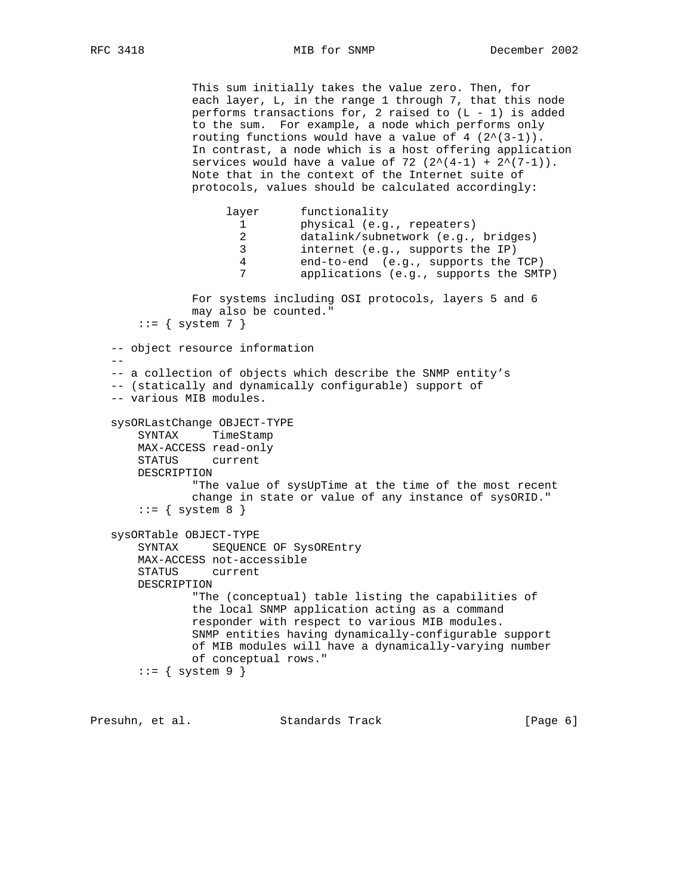This sum initially takes the value zero. Then, for each layer, L, in the range 1 through 7, that this node performs transactions for, 2 raised to  $(L - 1)$  is added to the sum. For example, a node which performs only routing functions would have a value of  $4$   $(2^{(3-1)})$ . In contrast, a node which is a host offering application services would have a value of 72  $(2^*(4-1) + 2^*(7-1))$ . Note that in the context of the Internet suite of protocols, values should be calculated accordingly: layer functionality 1<br>1 physical (e.g., repeaters)<br>1

2 datalink/subnetwork (e.g., bridges)<br>3 internet (e.g., supports the IP) internet (e.g., supports the IP) 4 end-to-end (e.g., supports the TCP) 7 applications (e.g., supports the SMTP) For systems including OSI protocols, layers 5 and 6 may also be counted."  $::=$  { system 7 } -- object resource information  $- -$  -- a collection of objects which describe the SNMP entity's -- (statically and dynamically configurable) support of -- various MIB modules. sysORLastChange OBJECT-TYPE SYNTAX TimeStamp MAX-ACCESS read-only STATUS current DESCRIPTION "The value of sysUpTime at the time of the most recent change in state or value of any instance of sysORID."  $::=$  { system 8 } sysORTable OBJECT-TYPE SYNTAX SEQUENCE OF SysOREntry MAX-ACCESS not-accessible STATUS current DESCRIPTION "The (conceptual) table listing the capabilities of the local SNMP application acting as a command responder with respect to various MIB modules. SNMP entities having dynamically-configurable support of MIB modules will have a dynamically-varying number of conceptual rows."  $::=$  { system 9 }

Presuhn, et al. Standards Track [Page 6]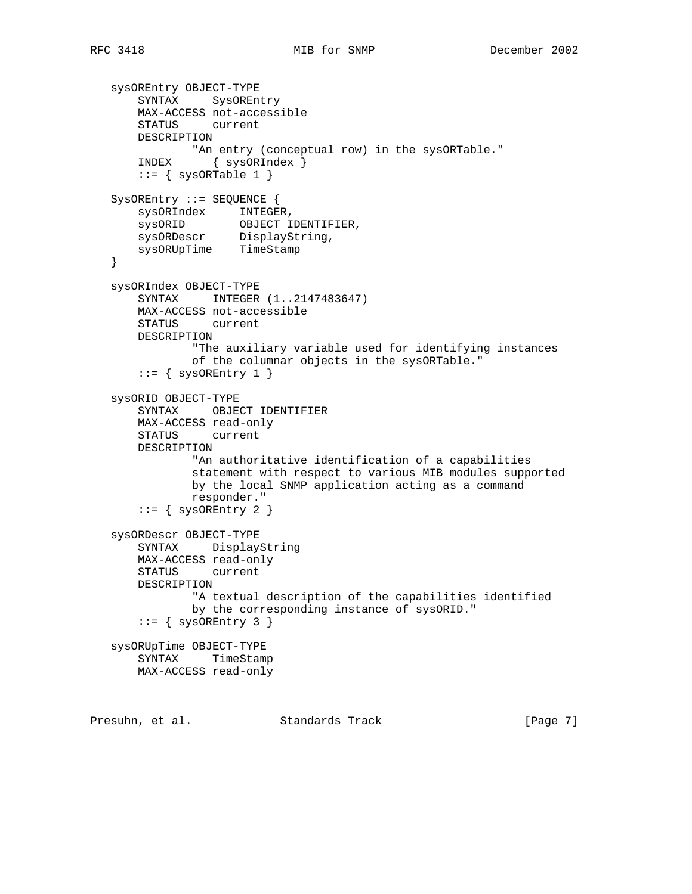```
 sysOREntry OBJECT-TYPE
       SYNTAX SysOREntry
       MAX-ACCESS not-accessible
       STATUS current
       DESCRIPTION
      "An entry (conceptual row) in the sysORTable."<br>INDEX { sysORIndex }
                 { sysORIndex }
      ::= { sysORTable 1 }
   SysOREntry ::= SEQUENCE {
 sysORIndex INTEGER,
 sysORID OBJECT IDENTIFIER,
 sysORDescr DisplayString,
       sysORUpTime TimeStamp
   }
   sysORIndex OBJECT-TYPE
       SYNTAX INTEGER (1..2147483647)
       MAX-ACCESS not-accessible
       STATUS current
       DESCRIPTION
               "The auxiliary variable used for identifying instances
               of the columnar objects in the sysORTable."
      ::= { sysOREntry 1 }
   sysORID OBJECT-TYPE
       SYNTAX OBJECT IDENTIFIER
       MAX-ACCESS read-only
       STATUS current
       DESCRIPTION
               "An authoritative identification of a capabilities
               statement with respect to various MIB modules supported
               by the local SNMP application acting as a command
               responder."
      ::= { sysOREntry 2 }
   sysORDescr OBJECT-TYPE
       SYNTAX DisplayString
       MAX-ACCESS read-only
       STATUS current
       DESCRIPTION
               "A textual description of the capabilities identified
               by the corresponding instance of sysORID."
      ::= { sysOREntry 3 }
   sysORUpTime OBJECT-TYPE
       SYNTAX TimeStamp
       MAX-ACCESS read-only
```
Presuhn, et al. Standards Track [Page 7]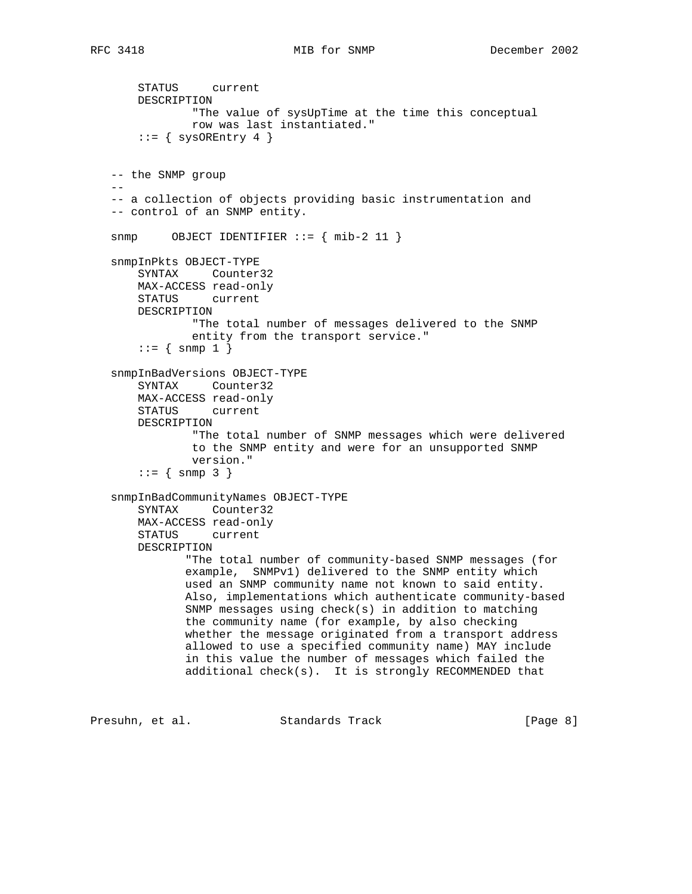```
 STATUS current
       DESCRIPTION
               "The value of sysUpTime at the time this conceptual
               row was last instantiated."
       ::= { sysOREntry 4 }
    -- the SNMP group
- -- a collection of objects providing basic instrumentation and
    -- control of an SNMP entity.
    snmp OBJECT IDENTIFIER ::= { mib-2 11 }
    snmpInPkts OBJECT-TYPE
       SYNTAX Counter32
       MAX-ACCESS read-only
       STATUS current
       DESCRIPTION
               "The total number of messages delivered to the SNMP
               entity from the transport service."
       ::= \{ \text{snmp } 1 \} snmpInBadVersions OBJECT-TYPE
       SYNTAX Counter32
       MAX-ACCESS read-only
       STATUS current
       DESCRIPTION
                "The total number of SNMP messages which were delivered
               to the SNMP entity and were for an unsupported SNMP
               version."
       : := \{ \text{snmp } 3 \} snmpInBadCommunityNames OBJECT-TYPE
       SYNTAX Counter32
       MAX-ACCESS read-only
       STATUS current
       DESCRIPTION
              "The total number of community-based SNMP messages (for
              example, SNMPv1) delivered to the SNMP entity which
              used an SNMP community name not known to said entity.
              Also, implementations which authenticate community-based
              SNMP messages using check(s) in addition to matching
              the community name (for example, by also checking
              whether the message originated from a transport address
              allowed to use a specified community name) MAY include
              in this value the number of messages which failed the
              additional check(s). It is strongly RECOMMENDED that
Presuhn, et al. Standards Track [Page 8]
```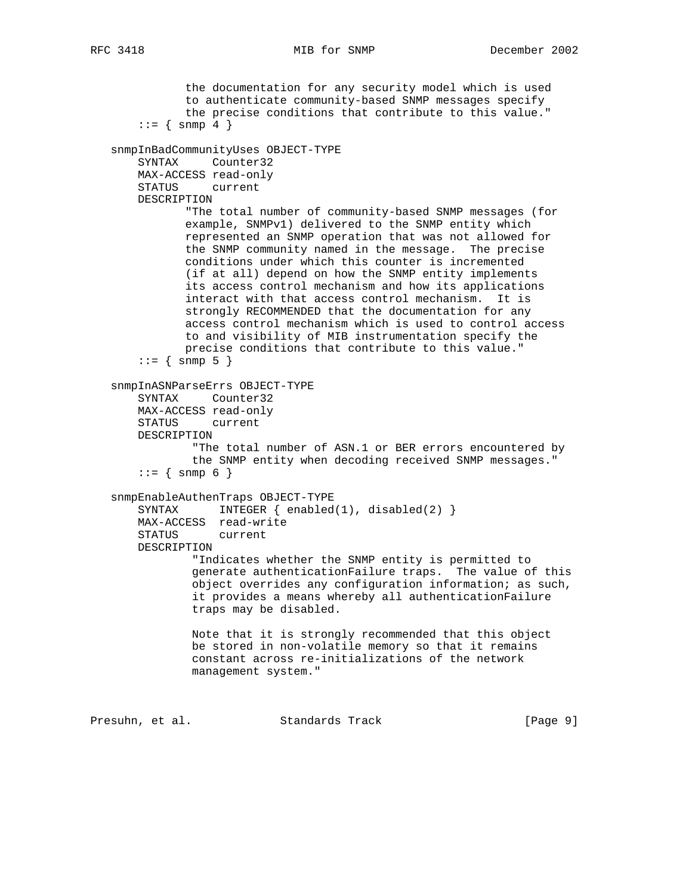the documentation for any security model which is used to authenticate community-based SNMP messages specify the precise conditions that contribute to this value."  $::=$  { snmp 4 } snmpInBadCommunityUses OBJECT-TYPE SYNTAX Counter32 MAX-ACCESS read-only STATUS current DESCRIPTION "The total number of community-based SNMP messages (for example, SNMPv1) delivered to the SNMP entity which represented an SNMP operation that was not allowed for the SNMP community named in the message. The precise conditions under which this counter is incremented (if at all) depend on how the SNMP entity implements its access control mechanism and how its applications interact with that access control mechanism. It is strongly RECOMMENDED that the documentation for any access control mechanism which is used to control access to and visibility of MIB instrumentation specify the precise conditions that contribute to this value."  $::= { \text{snmp 5 } }$  snmpInASNParseErrs OBJECT-TYPE SYNTAX Counter32 MAX-ACCESS read-only STATUS current DESCRIPTION "The total number of ASN.1 or BER errors encountered by the SNMP entity when decoding received SNMP messages."  $: := \{ \text{snmp } 6 \}$  snmpEnableAuthenTraps OBJECT-TYPE SYNTAX INTEGER  $\{ \text{enabeled}(1), \text{disabeled}(2) \}$  MAX-ACCESS read-write STATUS current DESCRIPTION "Indicates whether the SNMP entity is permitted to generate authenticationFailure traps. The value of this object overrides any configuration information; as such, it provides a means whereby all authenticationFailure traps may be disabled. Note that it is strongly recommended that this object be stored in non-volatile memory so that it remains constant across re-initializations of the network management system."

Presuhn, et al. Standards Track [Page 9]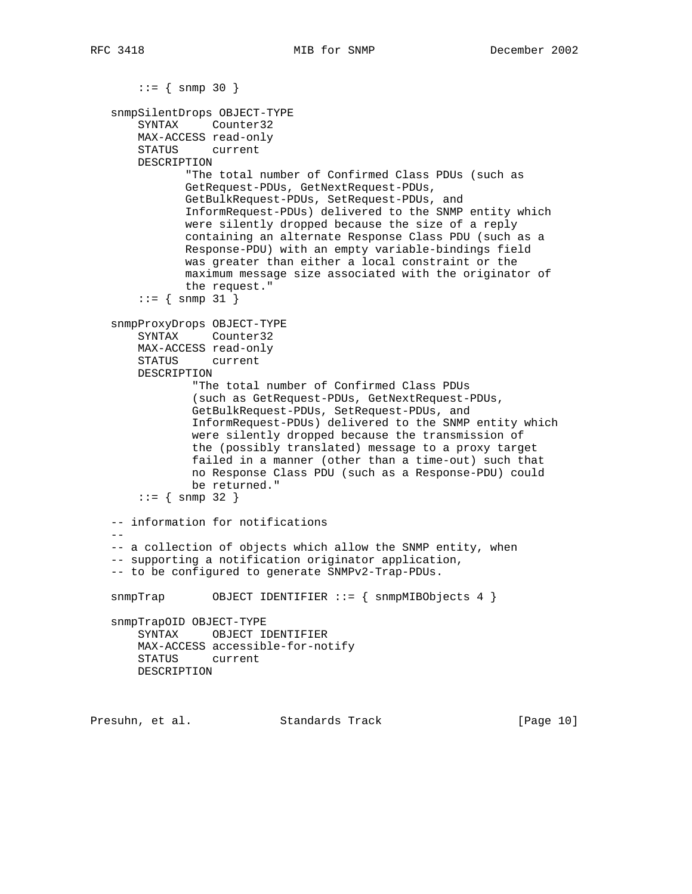$::=$  { snmp 30 } snmpSilentDrops OBJECT-TYPE SYNTAX Counter32 MAX-ACCESS read-only STATUS current DESCRIPTION "The total number of Confirmed Class PDUs (such as GetRequest-PDUs, GetNextRequest-PDUs, GetBulkRequest-PDUs, SetRequest-PDUs, and InformRequest-PDUs) delivered to the SNMP entity which were silently dropped because the size of a reply containing an alternate Response Class PDU (such as a Response-PDU) with an empty variable-bindings field was greater than either a local constraint or the maximum message size associated with the originator of the request."  $: := \{ \text{snmp } 31 \}$  snmpProxyDrops OBJECT-TYPE SYNTAX Counter32 MAX-ACCESS read-only STATUS current DESCRIPTION "The total number of Confirmed Class PDUs (such as GetRequest-PDUs, GetNextRequest-PDUs, GetBulkRequest-PDUs, SetRequest-PDUs, and InformRequest-PDUs) delivered to the SNMP entity which were silently dropped because the transmission of the (possibly translated) message to a proxy target failed in a manner (other than a time-out) such that no Response Class PDU (such as a Response-PDU) could be returned."  $: := \{ \text{snmp } 32 \}$  -- information for notifications  $-$  -- a collection of objects which allow the SNMP entity, when -- supporting a notification originator application, -- to be configured to generate SNMPv2-Trap-PDUs. snmpTrap OBJECT IDENTIFIER ::= { snmpMIBObjects 4 } snmpTrapOID OBJECT-TYPE SYNTAX OBJECT IDENTIFIER MAX-ACCESS accessible-for-notify STATUS current DESCRIPTION

Presuhn, et al. Standards Track [Page 10]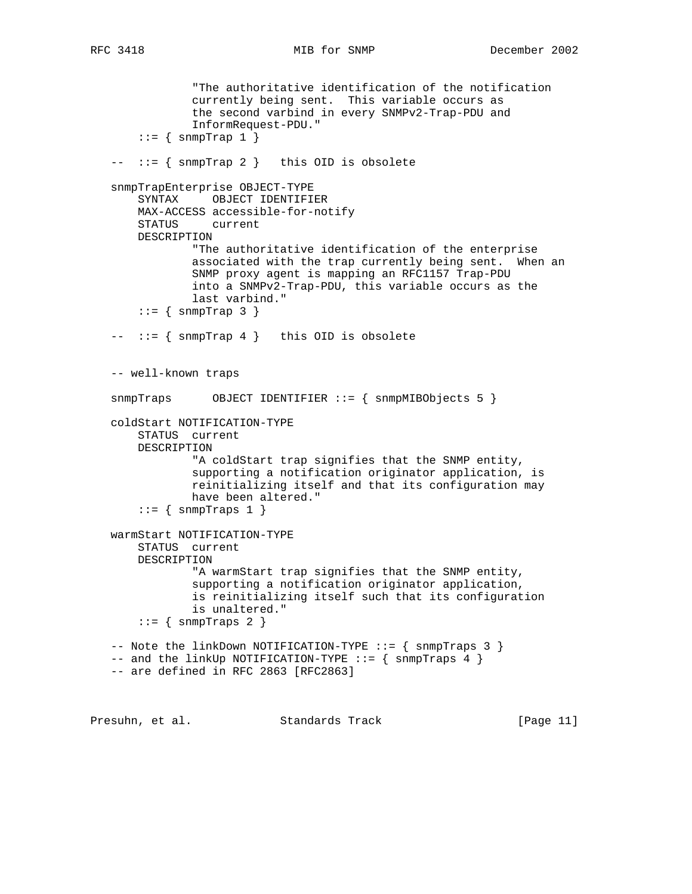"The authoritative identification of the notification currently being sent. This variable occurs as the second varbind in every SNMPv2-Trap-PDU and InformRequest-PDU."  $::=$  { snmpTrap 1 } -- ::= { snmpTrap 2 } this OID is obsolete snmpTrapEnterprise OBJECT-TYPE SYNTAX OBJECT IDENTIFIER MAX-ACCESS accessible-for-notify STATUS current DESCRIPTION "The authoritative identification of the enterprise associated with the trap currently being sent. When an SNMP proxy agent is mapping an RFC1157 Trap-PDU into a SNMPv2-Trap-PDU, this variable occurs as the last varbind."  $::=$  { snmpTrap 3 }  $--- := \{$  snmpTrap 4  $}$  this OID is obsolete -- well-known traps snmpTraps OBJECT IDENTIFIER ::= { snmpMIBObjects 5 } coldStart NOTIFICATION-TYPE STATUS current DESCRIPTION "A coldStart trap signifies that the SNMP entity, supporting a notification originator application, is reinitializing itself and that its configuration may have been altered."  $::=$  { snmpTraps 1 } warmStart NOTIFICATION-TYPE STATUS current DESCRIPTION "A warmStart trap signifies that the SNMP entity, supporting a notification originator application, is reinitializing itself such that its configuration is unaltered."  $::=$  { snmpTraps 2 } -- Note the linkDown NOTIFICATION-TYPE ::= { snmpTraps 3 }  $--$  and the linkUp NOTIFICATION-TYPE  $::=$  { snmpTraps 4 } -- are defined in RFC 2863 [RFC2863]

Presuhn, et al. Standards Track [Page 11]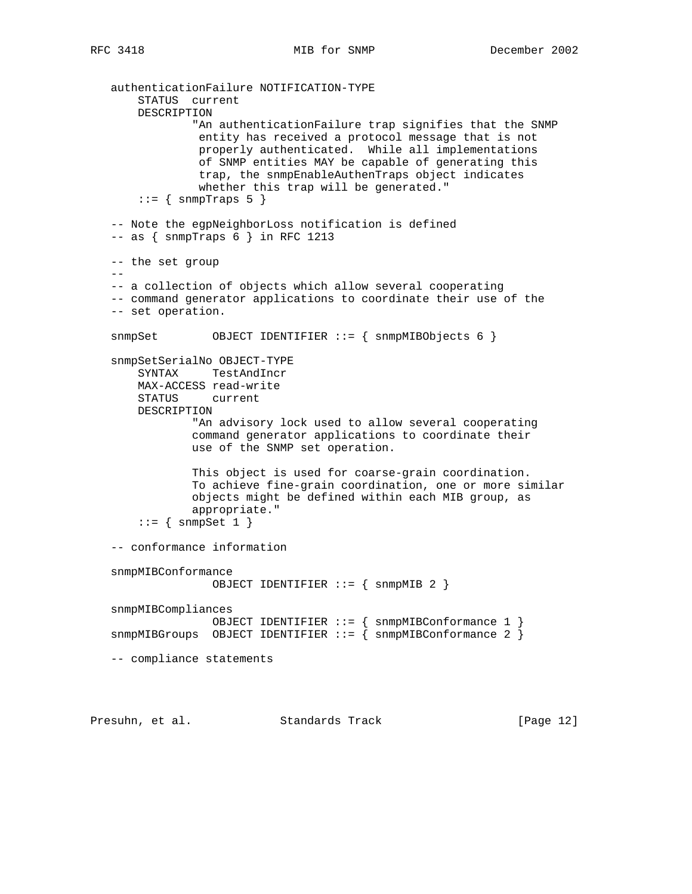```
 authenticationFailure NOTIFICATION-TYPE
     STATUS current
     DESCRIPTION
             "An authenticationFailure trap signifies that the SNMP
              entity has received a protocol message that is not
              properly authenticated. While all implementations
              of SNMP entities MAY be capable of generating this
              trap, the snmpEnableAuthenTraps object indicates
              whether this trap will be generated."
    ::= { snmpTraps 5 }
 -- Note the egpNeighborLoss notification is defined
 -- as { snmpTraps 6 } in RFC 1213
 -- the set group
- -- a collection of objects which allow several cooperating
 -- command generator applications to coordinate their use of the
 -- set operation.
 snmpSet OBJECT IDENTIFIER ::= { snmpMIBObjects 6 }
 snmpSetSerialNo OBJECT-TYPE
     SYNTAX TestAndIncr
    MAX-ACCESS read-write
    STATUS current
    DESCRIPTION
             "An advisory lock used to allow several cooperating
             command generator applications to coordinate their
             use of the SNMP set operation.
             This object is used for coarse-grain coordination.
             To achieve fine-grain coordination, one or more similar
             objects might be defined within each MIB group, as
             appropriate."
    ::= { snmpSet 1 }
 -- conformance information
 snmpMIBConformance
                OBJECT IDENTIFIER ::= { snmpMIB 2 }
 snmpMIBCompliances
              OBJECT IDENTIFIER ::= { snmpMIBConformance 1 }
 snmpMIBGroups OBJECT IDENTIFIER ::= { snmpMIBConformance 2 }
 -- compliance statements
```
Presuhn, et al. Standards Track [Page 12]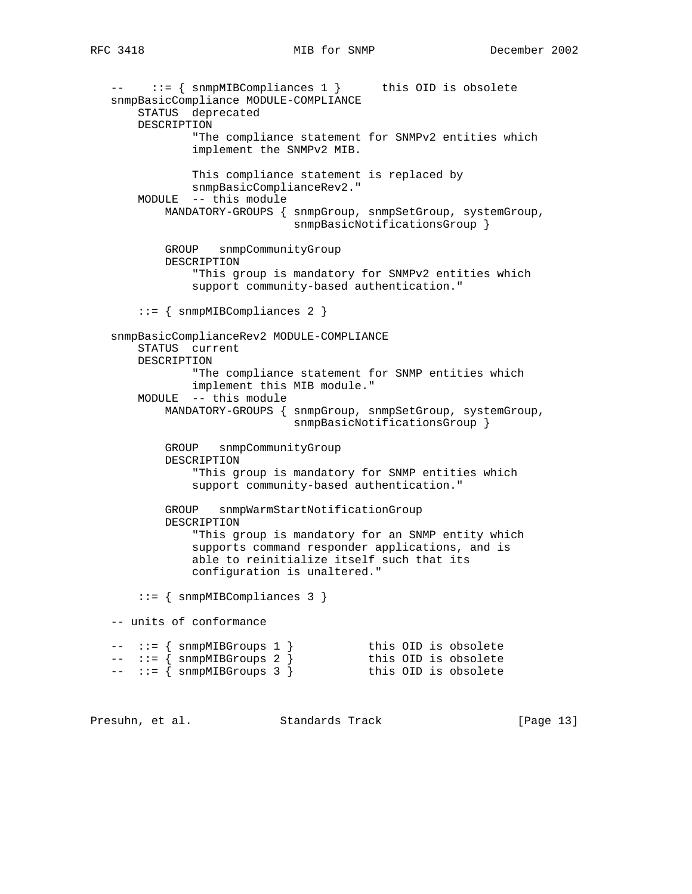-- ::= { snmpMIBCompliances 1 } this OID is obsolete snmpBasicCompliance MODULE-COMPLIANCE STATUS deprecated DESCRIPTION "The compliance statement for SNMPv2 entities which implement the SNMPv2 MIB. This compliance statement is replaced by snmpBasicComplianceRev2." MODULE -- this module MANDATORY-GROUPS { snmpGroup, snmpSetGroup, systemGroup, snmpBasicNotificationsGroup } GROUP snmpCommunityGroup DESCRIPTION "This group is mandatory for SNMPv2 entities which support community-based authentication." ::= { snmpMIBCompliances 2 } snmpBasicComplianceRev2 MODULE-COMPLIANCE STATUS current DESCRIPTION "The compliance statement for SNMP entities which implement this MIB module." MODULE -- this module MANDATORY-GROUPS { snmpGroup, snmpSetGroup, systemGroup, snmpBasicNotificationsGroup } GROUP snmpCommunityGroup DESCRIPTION "This group is mandatory for SNMP entities which support community-based authentication." GROUP snmpWarmStartNotificationGroup DESCRIPTION "This group is mandatory for an SNMP entity which supports command responder applications, and is able to reinitialize itself such that its configuration is unaltered." ::= { snmpMIBCompliances 3 } -- units of conformance -- ::= { snmpMIBGroups 1 } this OID is obsolete -- ::= { snmpMIBGroups 2 } this OID is obsolete -- ::= { snmpMIBGroups 3 } this OID is obsolete

Presuhn, et al. Standards Track [Page 13]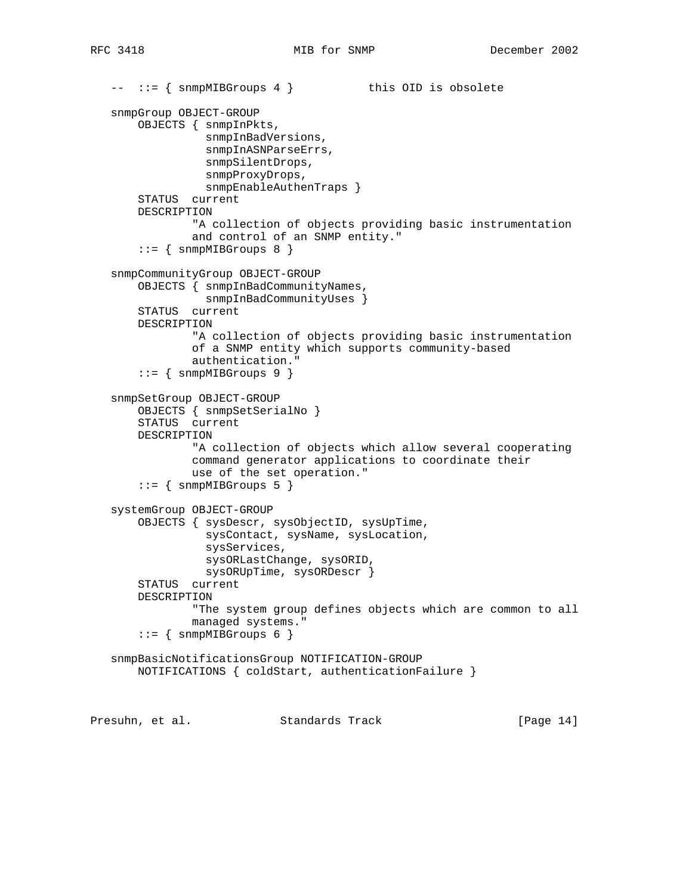```
-- ::= { snmpMIBGroups 4 } this OID is obsolete
    snmpGroup OBJECT-GROUP
       OBJECTS { snmpInPkts,
                 snmpInBadVersions,
                 snmpInASNParseErrs,
                 snmpSilentDrops,
                  snmpProxyDrops,
                 snmpEnableAuthenTraps }
        STATUS current
       DESCRIPTION
                "A collection of objects providing basic instrumentation
                and control of an SNMP entity."
       ::= { snmpMIBGroups 8 }
    snmpCommunityGroup OBJECT-GROUP
       OBJECTS { snmpInBadCommunityNames,
                snmpInBadCommunityUses }
       STATUS current
       DESCRIPTION
                "A collection of objects providing basic instrumentation
                of a SNMP entity which supports community-based
                authentication."
       ::= { snmpMIBGroups 9 }
    snmpSetGroup OBJECT-GROUP
       OBJECTS { snmpSetSerialNo }
        STATUS current
       DESCRIPTION
                "A collection of objects which allow several cooperating
                command generator applications to coordinate their
               use of the set operation."
       ::= { snmpMIBGroups 5 }
    systemGroup OBJECT-GROUP
        OBJECTS { sysDescr, sysObjectID, sysUpTime,
                  sysContact, sysName, sysLocation,
                 sysServices,
                 sysORLastChange, sysORID,
                 sysORUpTime, sysORDescr }
        STATUS current
       DESCRIPTION
               "The system group defines objects which are common to all
               managed systems."
       ::= { snmpMIBGroups 6 }
    snmpBasicNotificationsGroup NOTIFICATION-GROUP
       NOTIFICATIONS { coldStart, authenticationFailure }
Presuhn, et al. Standards Track [Page 14]
```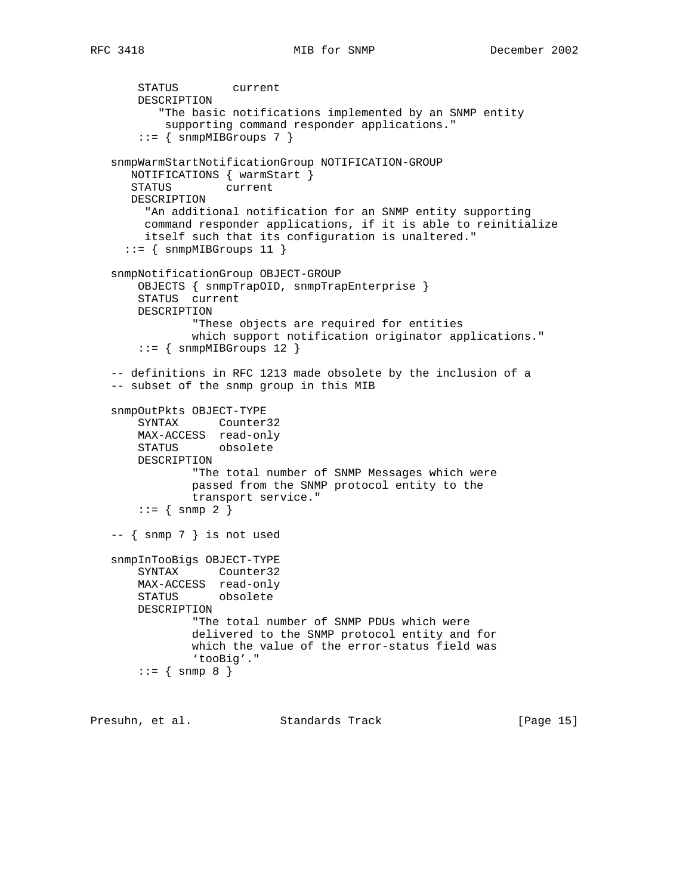STATUS current DESCRIPTION "The basic notifications implemented by an SNMP entity supporting command responder applications."  $::=$  { snmpMIBGroups 7 } snmpWarmStartNotificationGroup NOTIFICATION-GROUP NOTIFICATIONS { warmStart } STATUS current DESCRIPTION "An additional notification for an SNMP entity supporting command responder applications, if it is able to reinitialize itself such that its configuration is unaltered."  $::=$  { snmpMIBGroups 11 } snmpNotificationGroup OBJECT-GROUP OBJECTS { snmpTrapOID, snmpTrapEnterprise } STATUS current DESCRIPTION "These objects are required for entities which support notification originator applications."  $::=$  { snmpMIBGroups 12 } -- definitions in RFC 1213 made obsolete by the inclusion of a -- subset of the snmp group in this MIB snmpOutPkts OBJECT-TYPE SYNTAX Counter32 MAX-ACCESS read-only STATUS obsolete DESCRIPTION "The total number of SNMP Messages which were passed from the SNMP protocol entity to the transport service."  $::=$  { snmp 2 } -- { snmp 7 } is not used snmpInTooBigs OBJECT-TYPE SYNTAX Counter32 MAX-ACCESS read-only STATUS obsolete DESCRIPTION "The total number of SNMP PDUs which were delivered to the SNMP protocol entity and for which the value of the error-status field was 'tooBig'."  $::=$  { snmp 8 }

Presuhn, et al. Standards Track [Page 15]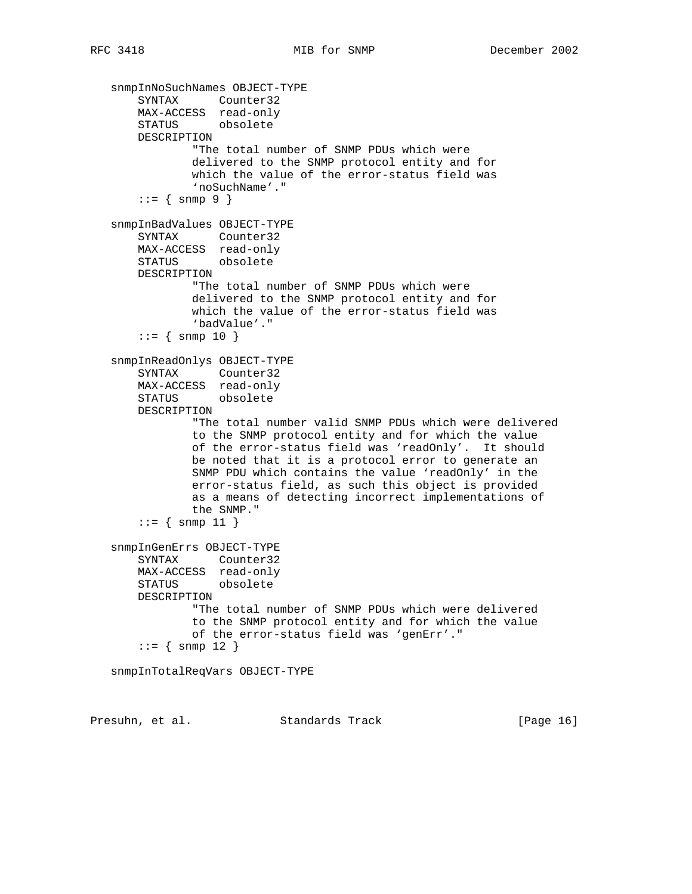```
 snmpInNoSuchNames OBJECT-TYPE
 SYNTAX Counter32
 MAX-ACCESS read-only
       STATUS obsolete
       DESCRIPTION
                "The total number of SNMP PDUs which were
               delivered to the SNMP protocol entity and for
               which the value of the error-status field was
               'noSuchName'."
       ::= { \text{snmp 9 } } snmpInBadValues OBJECT-TYPE
       SYNTAX Counter32
       MAX-ACCESS read-only
       STATUS obsolete
       DESCRIPTION
                "The total number of SNMP PDUs which were
               delivered to the SNMP protocol entity and for
               which the value of the error-status field was
               'badValue'."
       : := \{ \text{snmp } 10 \} snmpInReadOnlys OBJECT-TYPE
       SYNTAX Counter32
       MAX-ACCESS read-only
       STATUS obsolete
       DESCRIPTION
                "The total number valid SNMP PDUs which were delivered
                to the SNMP protocol entity and for which the value
               of the error-status field was 'readOnly'. It should
               be noted that it is a protocol error to generate an
               SNMP PDU which contains the value 'readOnly' in the
               error-status field, as such this object is provided
               as a means of detecting incorrect implementations of
               the SNMP."
       ::= { snmp 11 }
   snmpInGenErrs OBJECT-TYPE
       SYNTAX Counter32
       MAX-ACCESS read-only
       STATUS obsolete
       DESCRIPTION
               "The total number of SNMP PDUs which were delivered
                to the SNMP protocol entity and for which the value
               of the error-status field was 'genErr'."
       : := \{ \text{snmp } 12 \} snmpInTotalReqVars OBJECT-TYPE
```
Presuhn, et al. Standards Track [Page 16]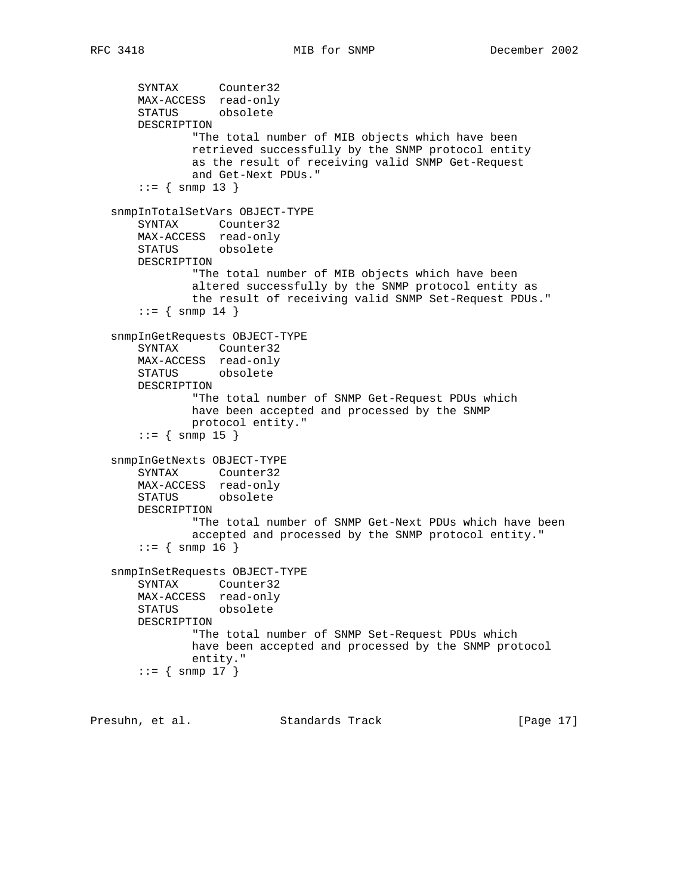SYNTAX Counter32 MAX-ACCESS read-only STATUS obsolete DESCRIPTION "The total number of MIB objects which have been retrieved successfully by the SNMP protocol entity as the result of receiving valid SNMP Get-Request and Get-Next PDUs."  $::=$  { snmp 13 } snmpInTotalSetVars OBJECT-TYPE SYNTAX Counter32 MAX-ACCESS read-only STATUS obsolete DESCRIPTION "The total number of MIB objects which have been altered successfully by the SNMP protocol entity as the result of receiving valid SNMP Set-Request PDUs."  $: := \{ \text{snmp } 14 \}$  snmpInGetRequests OBJECT-TYPE SYNTAX Counter32 MAX-ACCESS read-only STATUS obsolete DESCRIPTION "The total number of SNMP Get-Request PDUs which have been accepted and processed by the SNMP protocol entity."  $: := \{ \text{snmp } 15 \}$  snmpInGetNexts OBJECT-TYPE SYNTAX Counter32 MAX-ACCESS read-only STATUS obsolete DESCRIPTION "The total number of SNMP Get-Next PDUs which have been accepted and processed by the SNMP protocol entity."  $::=$  { snmp 16 } snmpInSetRequests OBJECT-TYPE SYNTAX Counter32 MAX-ACCESS read-only STATUS obsolete DESCRIPTION "The total number of SNMP Set-Request PDUs which have been accepted and processed by the SNMP protocol entity."  $::=$  { snmp 17 }

Presuhn, et al. Standards Track [Page 17]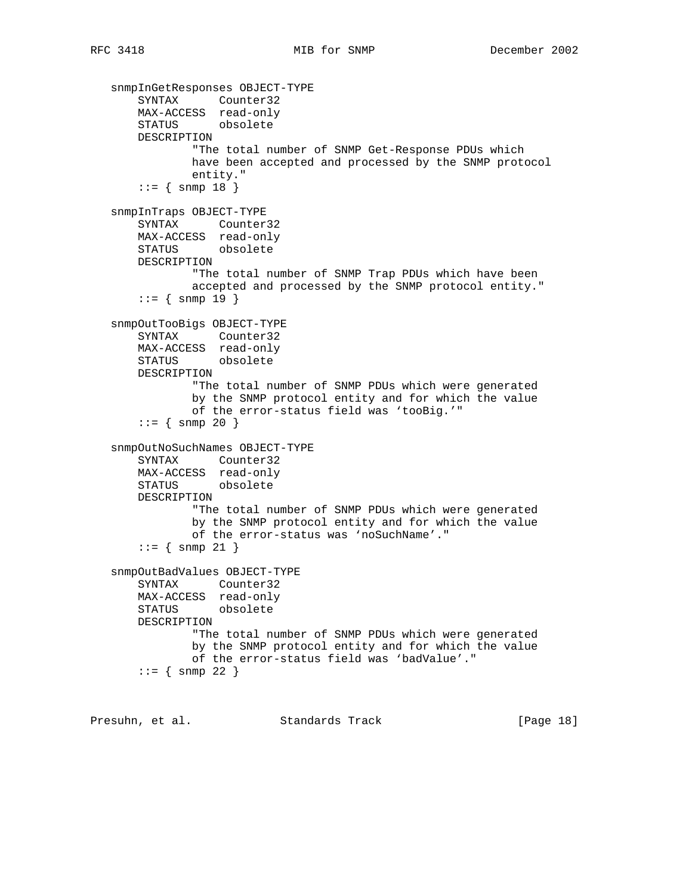snmpInGetResponses OBJECT-TYPE SYNTAX Counter32 MAX-ACCESS read-only STATUS obsolete DESCRIPTION "The total number of SNMP Get-Response PDUs which have been accepted and processed by the SNMP protocol entity."  $: := \{ \text{snmp } 18 \}$  snmpInTraps OBJECT-TYPE SYNTAX Counter32 MAX-ACCESS read-only STATUS obsolete DESCRIPTION "The total number of SNMP Trap PDUs which have been accepted and processed by the SNMP protocol entity."  $: := \{ \text{snmp } 19 \}$  snmpOutTooBigs OBJECT-TYPE SYNTAX Counter32 MAX-ACCESS read-only STATUS obsolete DESCRIPTION "The total number of SNMP PDUs which were generated by the SNMP protocol entity and for which the value of the error-status field was 'tooBig.'"  $: := \{ \text{snmp } 20 \}$  snmpOutNoSuchNames OBJECT-TYPE SYNTAX Counter32 MAX-ACCESS read-only STATUS obsolete DESCRIPTION "The total number of SNMP PDUs which were generated by the SNMP protocol entity and for which the value of the error-status was 'noSuchName'."  $::=$  { snmp 21 } snmpOutBadValues OBJECT-TYPE SYNTAX Counter32 MAX-ACCESS read-only STATUS obsolete DESCRIPTION "The total number of SNMP PDUs which were generated by the SNMP protocol entity and for which the value of the error-status field was 'badValue'."  $: := \{ \text{snmp } 22 \}$ 

Presuhn, et al. Standards Track [Page 18]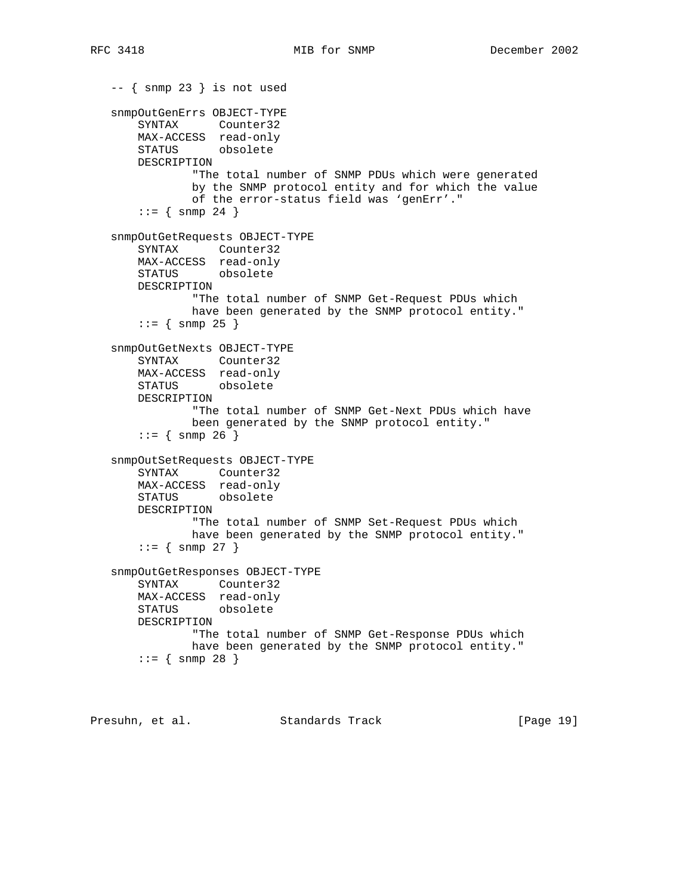```
 -- { snmp 23 } is not used
 snmpOutGenErrs OBJECT-TYPE
     SYNTAX Counter32
    MAX-ACCESS read-only
    STATUS obsolete
    DESCRIPTION
             "The total number of SNMP PDUs which were generated
             by the SNMP protocol entity and for which the value
             of the error-status field was 'genErr'."
    : := \{ \text{snmp } 24 \} snmpOutGetRequests OBJECT-TYPE
     SYNTAX Counter32
     MAX-ACCESS read-only
     STATUS obsolete
    DESCRIPTION
             "The total number of SNMP Get-Request PDUs which
             have been generated by the SNMP protocol entity."
    : := \{ \text{snmp } 25 \} snmpOutGetNexts OBJECT-TYPE
    SYNTAX Counter32
    MAX-ACCESS read-only
    STATUS obsolete
    DESCRIPTION
             "The total number of SNMP Get-Next PDUs which have
             been generated by the SNMP protocol entity."
    : := \{ \text{snmp } 26 \} snmpOutSetRequests OBJECT-TYPE
    SYNTAX Counter32
    MAX-ACCESS read-only
    STATUS obsolete
    DESCRIPTION
             "The total number of SNMP Set-Request PDUs which
             have been generated by the SNMP protocol entity."
    : := \{ \text{snmp } 27 \} snmpOutGetResponses OBJECT-TYPE
     SYNTAX Counter32
    MAX-ACCESS read-only
    STATUS obsolete
    DESCRIPTION
             "The total number of SNMP Get-Response PDUs which
             have been generated by the SNMP protocol entity."
    : := \{ \text{snmp } 28 \}
```
Presuhn, et al. Standards Track [Page 19]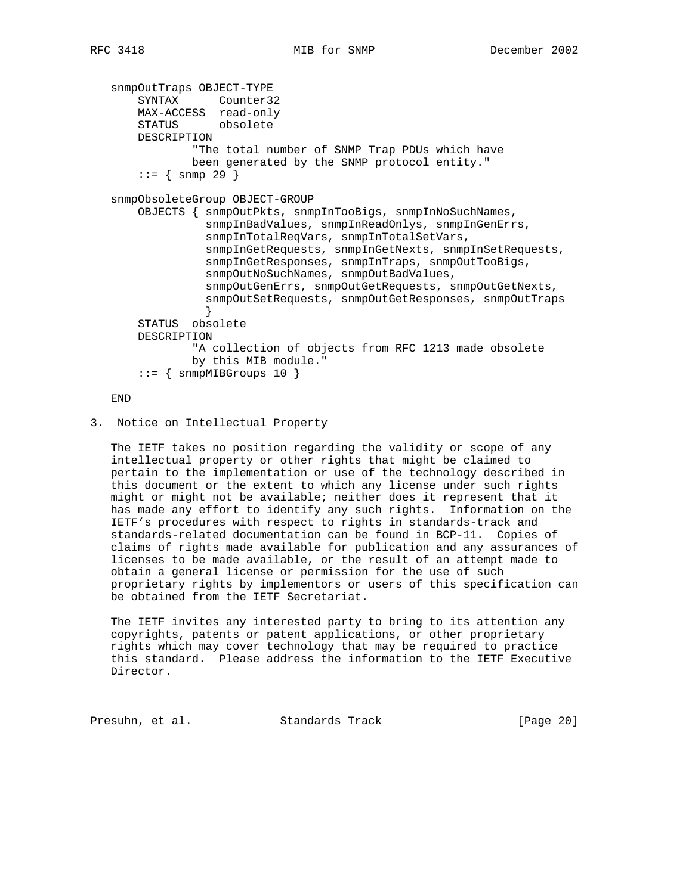```
 snmpOutTraps OBJECT-TYPE
 SYNTAX Counter32
 MAX-ACCESS read-only
       STATUS obsolete
       DESCRIPTION
               "The total number of SNMP Trap PDUs which have
               been generated by the SNMP protocol entity."
      : := \{ \text{snmp } 29 \} snmpObsoleteGroup OBJECT-GROUP
       OBJECTS { snmpOutPkts, snmpInTooBigs, snmpInNoSuchNames,
                 snmpInBadValues, snmpInReadOnlys, snmpInGenErrs,
                 snmpInTotalReqVars, snmpInTotalSetVars,
                 snmpInGetRequests, snmpInGetNexts, snmpInSetRequests,
                 snmpInGetResponses, snmpInTraps, snmpOutTooBigs,
                snmpOutNoSuchNames, snmpOutBadValues,
                 snmpOutGenErrs, snmpOutGetRequests, snmpOutGetNexts,
                 snmpOutSetRequests, snmpOutGetResponses, snmpOutTraps
 }
       STATUS obsolete
       DESCRIPTION
               "A collection of objects from RFC 1213 made obsolete
               by this MIB module."
      ::= { snmpMIBGroups 10 }
```
END

3. Notice on Intellectual Property

 The IETF takes no position regarding the validity or scope of any intellectual property or other rights that might be claimed to pertain to the implementation or use of the technology described in this document or the extent to which any license under such rights might or might not be available; neither does it represent that it has made any effort to identify any such rights. Information on the IETF's procedures with respect to rights in standards-track and standards-related documentation can be found in BCP-11. Copies of claims of rights made available for publication and any assurances of licenses to be made available, or the result of an attempt made to obtain a general license or permission for the use of such proprietary rights by implementors or users of this specification can be obtained from the IETF Secretariat.

 The IETF invites any interested party to bring to its attention any copyrights, patents or patent applications, or other proprietary rights which may cover technology that may be required to practice this standard. Please address the information to the IETF Executive Director.

Presuhn, et al. Standards Track [Page 20]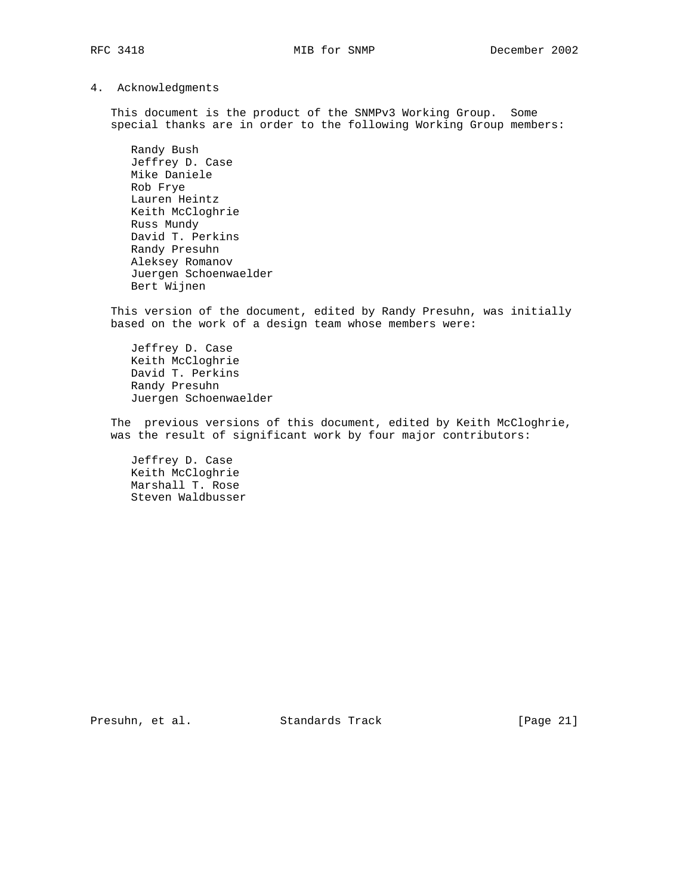4. Acknowledgments

 This document is the product of the SNMPv3 Working Group. Some special thanks are in order to the following Working Group members:

 Randy Bush Jeffrey D. Case Mike Daniele Rob Frye Lauren Heintz Keith McCloghrie Russ Mundy David T. Perkins Randy Presuhn Aleksey Romanov Juergen Schoenwaelder Bert Wijnen

 This version of the document, edited by Randy Presuhn, was initially based on the work of a design team whose members were:

 Jeffrey D. Case Keith McCloghrie David T. Perkins Randy Presuhn Juergen Schoenwaelder

 The previous versions of this document, edited by Keith McCloghrie, was the result of significant work by four major contributors:

 Jeffrey D. Case Keith McCloghrie Marshall T. Rose Steven Waldbusser

Presuhn, et al. Standards Track [Page 21]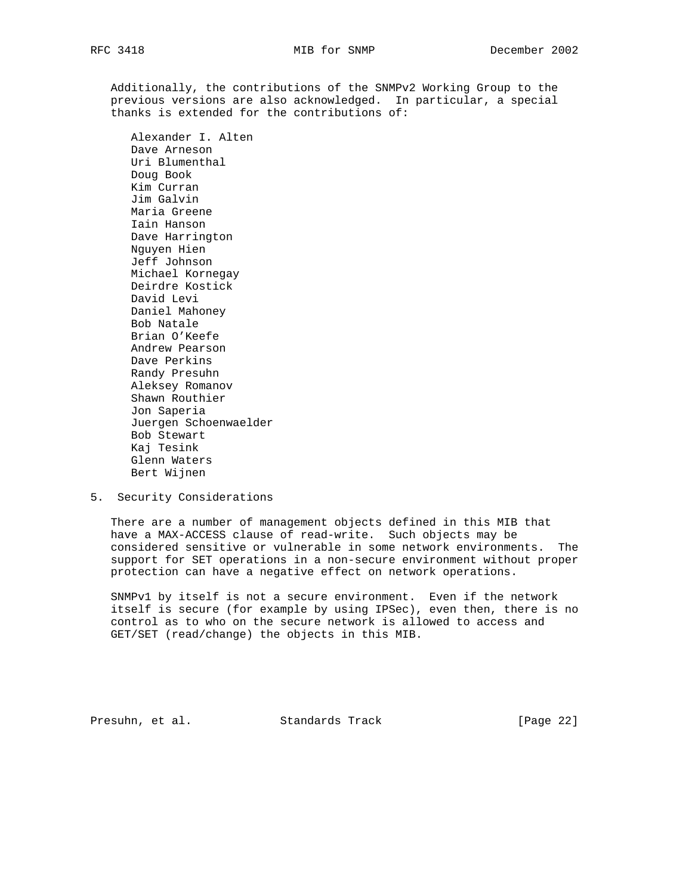Additionally, the contributions of the SNMPv2 Working Group to the previous versions are also acknowledged. In particular, a special thanks is extended for the contributions of:

 Alexander I. Alten Dave Arneson Uri Blumenthal Doug Book Kim Curran Jim Galvin Maria Greene Iain Hanson Dave Harrington Nguyen Hien Jeff Johnson Michael Kornegay Deirdre Kostick David Levi Daniel Mahoney Bob Natale Brian O'Keefe Andrew Pearson Dave Perkins Randy Presuhn Aleksey Romanov Shawn Routhier Jon Saperia Juergen Schoenwaelder Bob Stewart Kaj Tesink Glenn Waters Bert Wijnen

5. Security Considerations

 There are a number of management objects defined in this MIB that have a MAX-ACCESS clause of read-write. Such objects may be considered sensitive or vulnerable in some network environments. The support for SET operations in a non-secure environment without proper protection can have a negative effect on network operations.

 SNMPv1 by itself is not a secure environment. Even if the network itself is secure (for example by using IPSec), even then, there is no control as to who on the secure network is allowed to access and GET/SET (read/change) the objects in this MIB.

Presuhn, et al. Standards Track [Page 22]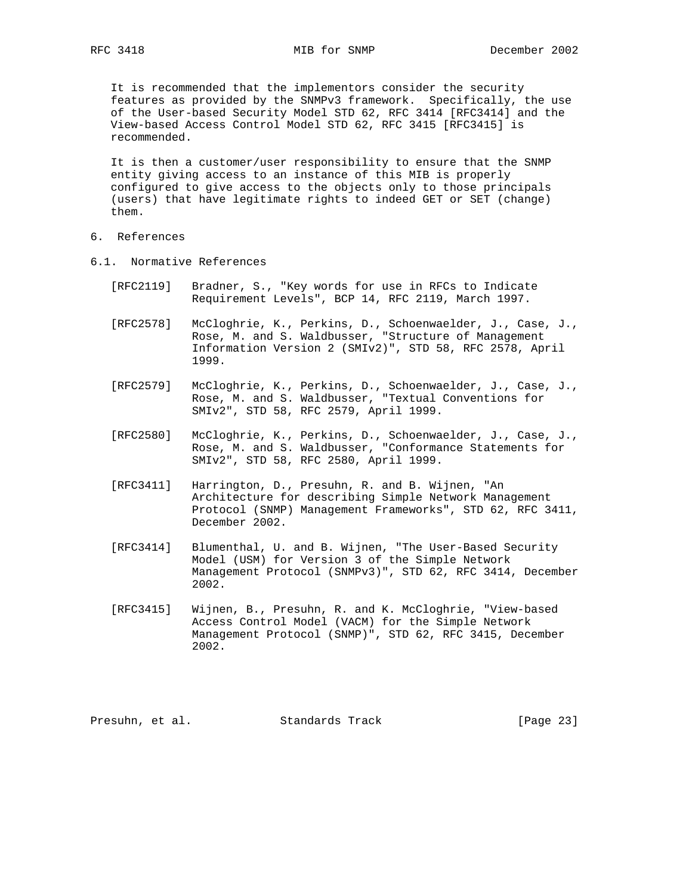It is recommended that the implementors consider the security features as provided by the SNMPv3 framework. Specifically, the use of the User-based Security Model STD 62, RFC 3414 [RFC3414] and the View-based Access Control Model STD 62, RFC 3415 [RFC3415] is recommended.

 It is then a customer/user responsibility to ensure that the SNMP entity giving access to an instance of this MIB is properly configured to give access to the objects only to those principals (users) that have legitimate rights to indeed GET or SET (change) them.

- 6. References
- 6.1. Normative References
	- [RFC2119] Bradner, S., "Key words for use in RFCs to Indicate Requirement Levels", BCP 14, RFC 2119, March 1997.
	- [RFC2578] McCloghrie, K., Perkins, D., Schoenwaelder, J., Case, J., Rose, M. and S. Waldbusser, "Structure of Management Information Version 2 (SMIv2)", STD 58, RFC 2578, April 1999.
	- [RFC2579] McCloghrie, K., Perkins, D., Schoenwaelder, J., Case, J., Rose, M. and S. Waldbusser, "Textual Conventions for SMIv2", STD 58, RFC 2579, April 1999.
- [RFC2580] McCloghrie, K., Perkins, D., Schoenwaelder, J., Case, J., Rose, M. and S. Waldbusser, "Conformance Statements for SMIv2", STD 58, RFC 2580, April 1999.
	- [RFC3411] Harrington, D., Presuhn, R. and B. Wijnen, "An Architecture for describing Simple Network Management Protocol (SNMP) Management Frameworks", STD 62, RFC 3411, December 2002.
	- [RFC3414] Blumenthal, U. and B. Wijnen, "The User-Based Security Model (USM) for Version 3 of the Simple Network Management Protocol (SNMPv3)", STD 62, RFC 3414, December 2002.
	- [RFC3415] Wijnen, B., Presuhn, R. and K. McCloghrie, "View-based Access Control Model (VACM) for the Simple Network Management Protocol (SNMP)", STD 62, RFC 3415, December 2002.

Presuhn, et al. Standards Track [Page 23]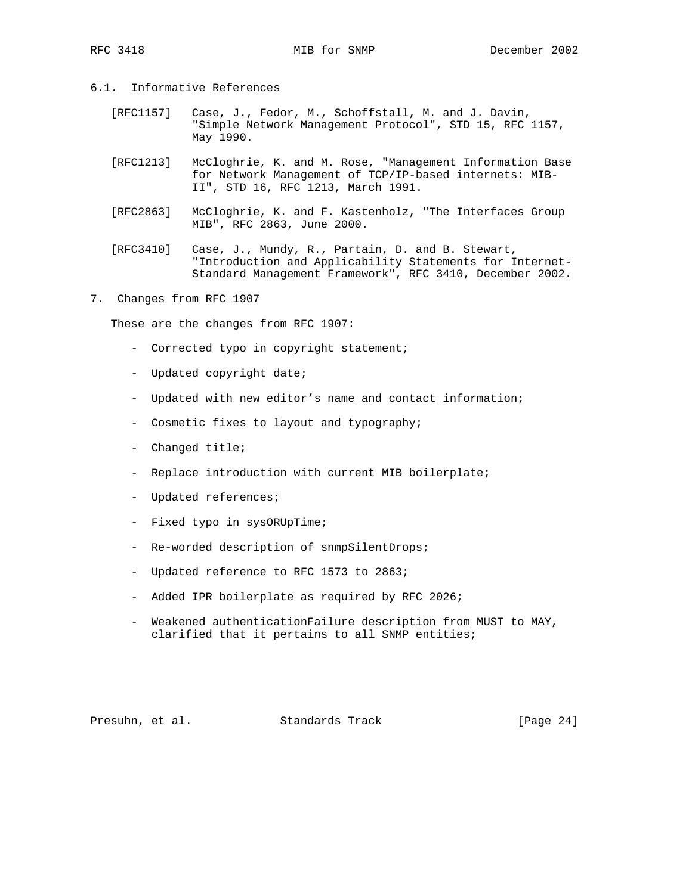- 6.1. Informative References
	- [RFC1157] Case, J., Fedor, M., Schoffstall, M. and J. Davin, "Simple Network Management Protocol", STD 15, RFC 1157, May 1990.
	- [RFC1213] McCloghrie, K. and M. Rose, "Management Information Base for Network Management of TCP/IP-based internets: MIB- II", STD 16, RFC 1213, March 1991.
	- [RFC2863] McCloghrie, K. and F. Kastenholz, "The Interfaces Group MIB", RFC 2863, June 2000.
	- [RFC3410] Case, J., Mundy, R., Partain, D. and B. Stewart, "Introduction and Applicability Statements for Internet- Standard Management Framework", RFC 3410, December 2002.
- 7. Changes from RFC 1907

These are the changes from RFC 1907:

- Corrected typo in copyright statement;
- Updated copyright date;
- Updated with new editor's name and contact information;
- Cosmetic fixes to layout and typography;
- Changed title;
- Replace introduction with current MIB boilerplate;
- Updated references;
- Fixed typo in sysORUpTime;
- Re-worded description of snmpSilentDrops;
- Updated reference to RFC 1573 to 2863;
- Added IPR boilerplate as required by RFC 2026;
- Weakened authenticationFailure description from MUST to MAY, clarified that it pertains to all SNMP entities;

Presuhn, et al. Standards Track [Page 24]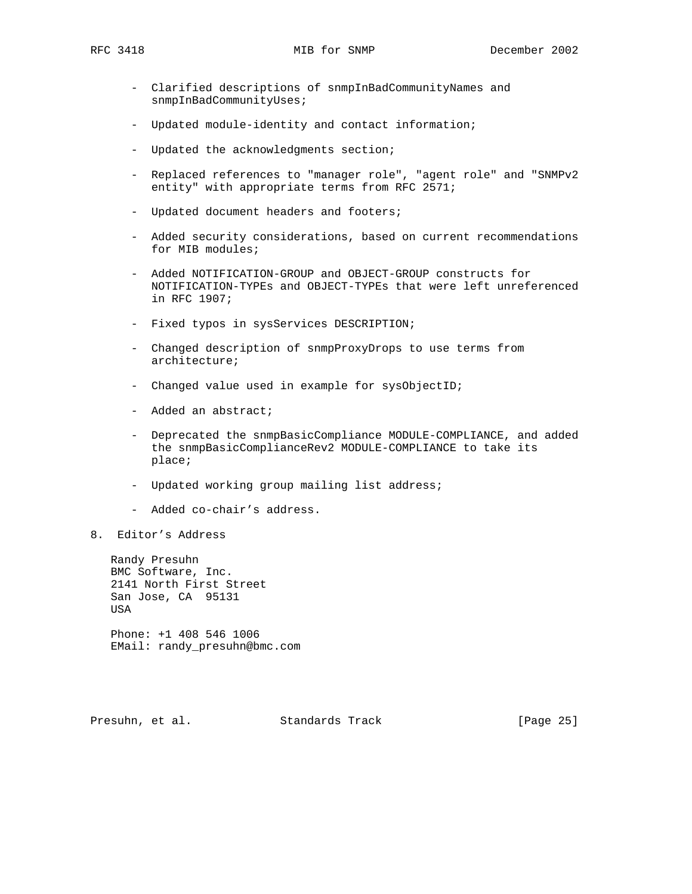- Clarified descriptions of snmpInBadCommunityNames and snmpInBadCommunityUses;
- Updated module-identity and contact information;
- Updated the acknowledgments section;
- Replaced references to "manager role", "agent role" and "SNMPv2 entity" with appropriate terms from RFC 2571;
- Updated document headers and footers;
- Added security considerations, based on current recommendations for MIB modules;
- Added NOTIFICATION-GROUP and OBJECT-GROUP constructs for NOTIFICATION-TYPEs and OBJECT-TYPEs that were left unreferenced in RFC 1907;
- Fixed typos in sysServices DESCRIPTION;
- Changed description of snmpProxyDrops to use terms from architecture;
- Changed value used in example for sysObjectID;
- Added an abstract;
- Deprecated the snmpBasicCompliance MODULE-COMPLIANCE, and added the snmpBasicComplianceRev2 MODULE-COMPLIANCE to take its place;
- Updated working group mailing list address;
- Added co-chair's address.
- 8. Editor's Address

 Randy Presuhn BMC Software, Inc. 2141 North First Street San Jose, CA 95131 **USA** 

 Phone: +1 408 546 1006 EMail: randy\_presuhn@bmc.com

Presuhn, et al. Standards Track [Page 25]